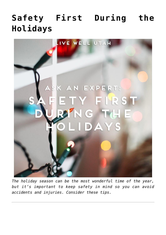## **[Safety First During the](https://livewellutah.org/2017/12/22/ask-an-expert-safety-first-during-the-holidays/) [Holidays](https://livewellutah.org/2017/12/22/ask-an-expert-safety-first-during-the-holidays/)**



*The holiday season can be the most wonderful time of the year, but it's important to keep safety in mind so you can avoid accidents and injuries. Consider these tips.*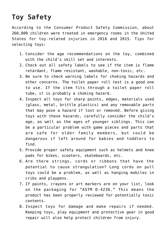## **Toy Safety**

According to the Consumer Product Safety Commission, about 260,000 children were treated in emergency rooms in the United States for toy-related injuries in 2016 and 2015. Tips for selecting toys:

- 1. Consider the age recommendations on the toy, combined with the child's skill set and interests.
- 2. Check out all safety labels to see if the item is flame retardant, flame resistant, washable, non-toxic, etc.
- 3. Be sure to check warning labels for choking hazards and other concerns. The toilet paper roll test is a good one to use. If the item fits through a toilet paper roll tube, it is probably a choking hazard.
- 4. Inspect all toys for sharp points, edges, materials used (glass, metal, brittle plastics) and any removable parts that may pose a hazard if lost or removed. Before giving toys with these hazards, carefully consider the child's age, as well as the ages of younger siblings. This can be a particular problem with game pieces and parts that are safe for older family members, but could be dangerous if left around for babies and toddlers to find.
- 5. Provide proper safety equipment such as helmets and knee pads for bikes, scooters, skateboards, etc.
- 6. Are there strings, cords or ribbons that have the potential to cause strangulation? Long cords on pull toys could be a problem, as well as hanging mobiles in cribs and playpens.
- 7. If paints, crayons or art markers are on your list, look on the packaging for "ASTM D-4236." This means the product has been properly reviewed for potentially toxic contents.
- 8. Inspect toys for damage and make repairs if needed. Keeping toys, play equipment and protective gear in good repair will also help protect children from injury.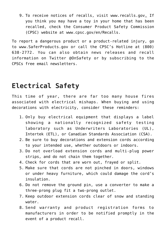9. To receive notices of recalls, visit [www.recalls.gov.](http://www.recalls.gov/) If you think you may have a toy in your home that has been recalled, check the Consumer Product Safety Commission (CPSC) website at [www.cpsc.gov/en/Recalls](http://www.cpsc.gov/en/Recalls).

To report a dangerous product or a product-related injury, go to [www.SaferProducts.gov](http://www.saferproducts.gov/) or call the CPSC's Hotline at (800) 638-2772. You can also obtain news releases and recall information on Twitter @OnSafety or by subscribing to the CPSCs free email newsletters.

## **Electrical Safety**

This time of year, there are far too many house fires associated with electrical mishaps. When buying and using decorations with electricity, consider these reminders:

- 1. Only buy electrical equipment that displays a label showing a nationally recognized safety testing laboratory such as Underwriters Laboratories (UL), Intertek (ETL), or Canadian Standards Association (CSA).
- 2. Be sure to buy decorations and extension cords according to your intended use, whether outdoors or indoors.
- 3. Do not overload extension cords and multi-plug power strips, and do not chain them together.
- 4. Check for cords that are worn out, frayed or split.
- 5. Make sure that cords are not pinched in doors, windows or under heavy furniture, which could damage the cord's insulation.
- 6. Do not remove the ground pin, use a converter to make a three-prong plug fit a two-prong outlet.
- 7. Keep outdoor extension cords clear of snow and standing water.
- 8. Send warranty and product registration forms to manufacturers in order to be notified promptly in the event of a product recall.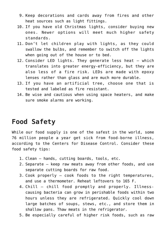- 9. Keep decorations and cards away from fires and other heat sources such as light fittings.
- 10. If you have old Christmas lights, consider buying new ones. Newer options will meet much higher safety standards.
- 11. Don't let children play with lights, as they could swallow the bulbs, and remember to switch off the lights when going out of the house or to bed.
- 12. Consider LED lights. They generate less heat which translates into greater energy-efficiency, but they are also less of a fire risk. LEDs are made with epoxy lenses rather than glass and are much more durable.
- 13. If you have an artificial tree, choose one that is tested and labeled as fire resistant.
- 14. Be wise and cautious when using space heaters, and make sure smoke alarms are working.

## **Food Safety**

While our food supply is one of the safest in the world, some 76 million people a year get sick from food-borne illness, according to the Centers for Disease Control. Consider these food safety tips:

- 1. Clean hands, cutting boards, tools, etc.
- 2. Separate keep raw meats away from other foods, and use separate cutting boards for raw food.
- 3. Cook properly cook foods to the right temperatures, and use a thermometer. Reheat leftovers to 165 F.
- 4. Chill chill food promptly and properly. Illnesscausing bacteria can grow in perishable foods within two hours unless they are refrigerated. Quickly cool down large batches of soups, stews, etc., and store them in shallow pans. Thaw meats in the refrigerator.
- 5. Be especially careful of higher risk foods, such as raw